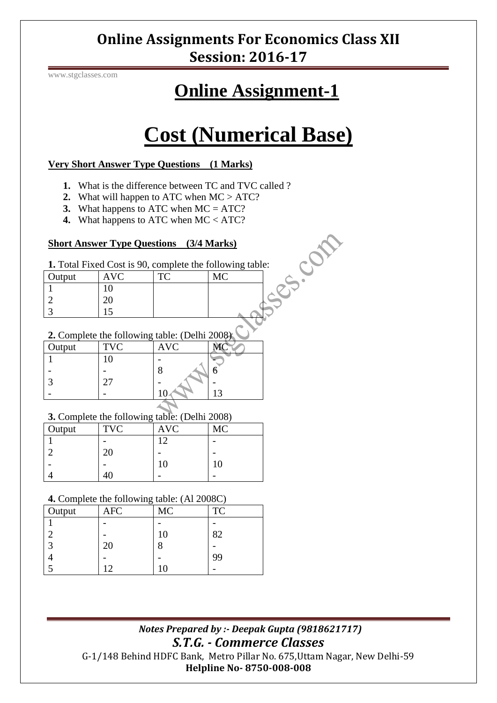## **Online Assignments For Economics Class XII Session: 2016-17**

www.stgclasses.com

## **Online Assignment-1**

# **Cost (Numerical Base)**

#### **Very Short Answer Type Questions (1 Marks)**

- **1.** What is the difference between TC and TVC called ?
- **2.** What will happen to ATC when MC > ATC?
- **3.** What happens to ATC when MC = ATC?
- **4.** What happens to ATC when MC < ATC?

#### **Short Answer Type Questions (3/4 Marks)**

|        | <b>Short Answer Type Questions</b> (3/4 Marks)<br><b>1.</b> Total Fixed Cost is 90, complete the following table: |     |           |  |
|--------|-------------------------------------------------------------------------------------------------------------------|-----|-----------|--|
| Output | <b>AVC</b>                                                                                                        | TC. | <b>MC</b> |  |
|        |                                                                                                                   |     |           |  |
|        |                                                                                                                   |     |           |  |
|        |                                                                                                                   |     |           |  |

#### **2.** Complete the following table: (Delhi 2008)

| Output | <b>TVC</b> | <b>AVC</b> |                 |
|--------|------------|------------|-----------------|
|        |            |            |                 |
|        |            |            |                 |
|        |            |            |                 |
|        |            |            | $\overline{12}$ |
|        |            |            |                 |

#### **3.** Complete the following table: (Delhi 2008)

| Output | c<br><b>TVC</b> | <b>AVC</b> | <b>MC</b> |
|--------|-----------------|------------|-----------|
|        |                 | 12         |           |
|        | 20              |            |           |
|        |                 | 10         | 10        |
|        |                 |            |           |

#### **4.** Complete the following table: (Al 2008C)

| Output | $\tilde{\phantom{a}}$<br>AFC | MC | <b>TC</b> |
|--------|------------------------------|----|-----------|
|        |                              |    |           |
|        |                              | 10 | 82        |
| 3      | 20                           | О  |           |
|        |                              |    | 99        |
|        | 12                           |    |           |

 *Notes Prepared by :- Deepak Gupta (9818621717) S.T.G. - Commerce Classes* G-1/148 Behind HDFC Bank, Metro Pillar No. 675,Uttam Nagar, New Delhi-59 **Helpline No- 8750-008-008**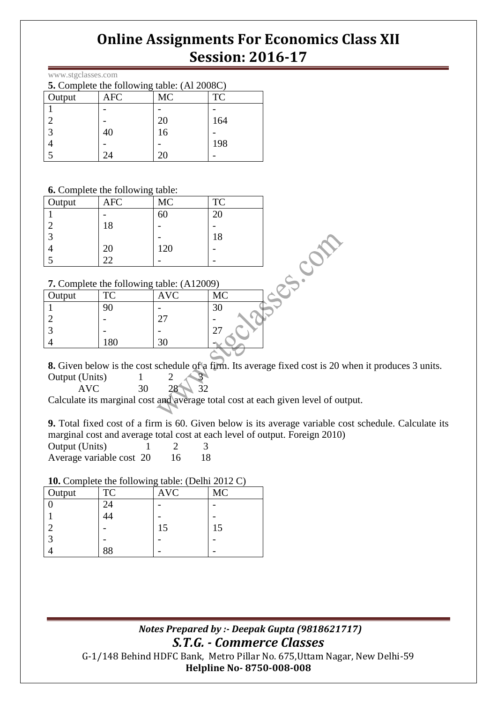## **Online Assignments For Economics Class XII Session: 2016-17**

| www.stgclasses.com |  |
|--------------------|--|
|--------------------|--|

| 5. Complete the following table: (Al 2008C) |     |           |     |
|---------------------------------------------|-----|-----------|-----|
| Output                                      | AFC | <b>MC</b> | TC  |
|                                             |     |           |     |
|                                             |     | 20        | 164 |
|                                             | 40  | 16        |     |
|                                             |     |           | 198 |
|                                             |     |           |     |

**6.** Complete the following table:

| <b>Dutput</b>                                    | <b>AFC</b><br>18 | <b>MC</b><br>60 | <b>TC</b><br>20<br>18 |  |  |
|--------------------------------------------------|------------------|-----------------|-----------------------|--|--|
|                                                  | 20               | 120             |                       |  |  |
|                                                  | 22               |                 |                       |  |  |
|                                                  |                  |                 |                       |  |  |
| <b>7.</b> Complete the following table: (A12009) |                  |                 |                       |  |  |
| )utput                                           | <b>TC</b>        | AVC             | <b>MC</b>             |  |  |

#### **7.** Complete the following table: (A12009)

|        | $\ldots$ complete the rollowing there. $(111200)$ |            |           |
|--------|---------------------------------------------------|------------|-----------|
| Output | TC                                                | <b>AVC</b> | <b>MC</b> |
|        |                                                   |            |           |
|        |                                                   | ∩″         |           |
|        |                                                   |            |           |
|        | 180                                               |            |           |
|        |                                                   |            |           |

**8.** Given below is the cost schedule of a firm. Its average fixed cost is 20 when it produces 3 units. Output (Units) 1 2

AVC 30 28 32

Calculate its marginal cost and average total cost at each given level of output.

**9.** Total fixed cost of a firm is 60. Given below is its average variable cost schedule. Calculate its marginal cost and average total cost at each level of output. Foreign 2010)

Output (Units)  $1 \t 2 \t 3$ Average variable cost 20 16 18

#### **10.** Complete the following table: (Delhi 2012 C)

| Output | TC              | ~<br><b>AVC</b> | MC |
|--------|-----------------|-----------------|----|
|        | 24              |                 |    |
|        | $\overline{14}$ |                 |    |
|        |                 | 15              | 15 |
|        |                 |                 |    |
|        | 88              |                 |    |

 *Notes Prepared by :- Deepak Gupta (9818621717) S.T.G. - Commerce Classes* G-1/148 Behind HDFC Bank, Metro Pillar No. 675,Uttam Nagar, New Delhi-59 **Helpline No- 8750-008-008**